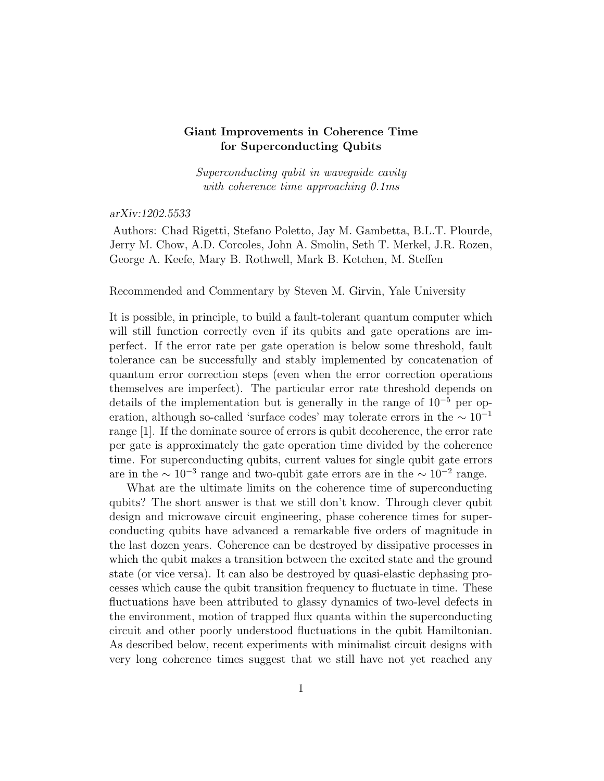## Giant Improvements in Coherence Time for Superconducting Qubits

Superconducting qubit in waveguide cavity with coherence time approaching 0.1ms

arXiv:1202.5533

Authors: Chad Rigetti, Stefano Poletto, Jay M. Gambetta, B.L.T. Plourde, Jerry M. Chow, A.D. Corcoles, John A. Smolin, Seth T. Merkel, J.R. Rozen, George A. Keefe, Mary B. Rothwell, Mark B. Ketchen, M. Steffen

Recommended and Commentary by Steven M. Girvin, Yale University

It is possible, in principle, to build a fault-tolerant quantum computer which will still function correctly even if its qubits and gate operations are imperfect. If the error rate per gate operation is below some threshold, fault tolerance can be successfully and stably implemented by concatenation of quantum error correction steps (even when the error correction operations themselves are imperfect). The particular error rate threshold depends on details of the implementation but is generally in the range of  $10^{-5}$  per operation, although so-called 'surface codes' may tolerate errors in the  $\sim 10^{-1}$ range [1]. If the dominate source of errors is qubit decoherence, the error rate per gate is approximately the gate operation time divided by the coherence time. For superconducting qubits, current values for single qubit gate errors are in the  $\sim 10^{-3}$  range and two-qubit gate errors are in the  $\sim 10^{-2}$  range.

What are the ultimate limits on the coherence time of superconducting qubits? The short answer is that we still don't know. Through clever qubit design and microwave circuit engineering, phase coherence times for superconducting qubits have advanced a remarkable five orders of magnitude in the last dozen years. Coherence can be destroyed by dissipative processes in which the qubit makes a transition between the excited state and the ground state (or vice versa). It can also be destroyed by quasi-elastic dephasing processes which cause the qubit transition frequency to fluctuate in time. These fluctuations have been attributed to glassy dynamics of two-level defects in the environment, motion of trapped flux quanta within the superconducting circuit and other poorly understood fluctuations in the qubit Hamiltonian. As described below, recent experiments with minimalist circuit designs with very long coherence times suggest that we still have not yet reached any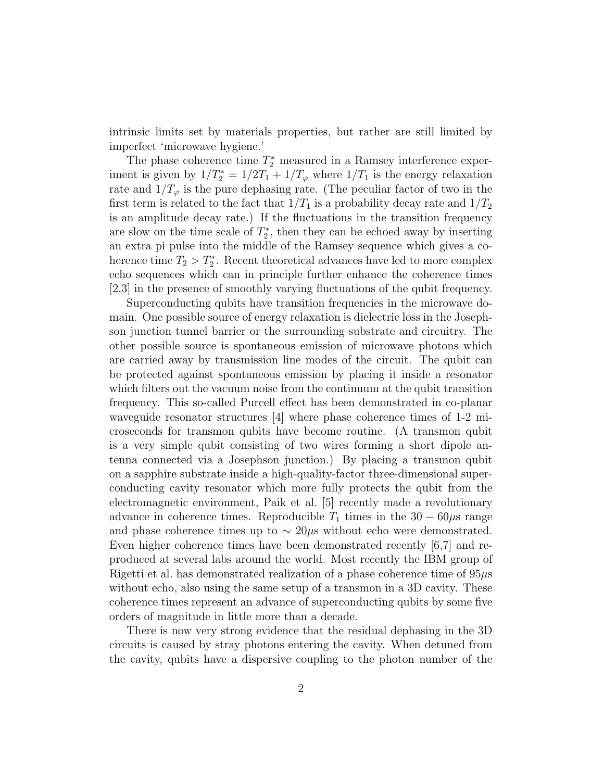intrinsic limits set by materials properties, but rather are still limited by imperfect 'microwave hygiene.'

The phase coherence time  $T_2^*$  measured in a Ramsey interference experiment is given by  $1/T_2^* = 1/2T_1 + 1/T_\varphi$  where  $1/T_1$  is the energy relaxation rate and  $1/T_{\varphi}$  is the pure dephasing rate. (The peculiar factor of two in the first term is related to the fact that  $1/T_1$  is a probability decay rate and  $1/T_2$ is an amplitude decay rate.) If the fluctuations in the transition frequency are slow on the time scale of  $T_2^*$ , then they can be echoed away by inserting an extra pi pulse into the middle of the Ramsey sequence which gives a coherence time  $T_2 > T_2^*$ . Recent theoretical advances have led to more complex echo sequences which can in principle further enhance the coherence times [2,3] in the presence of smoothly varying fluctuations of the qubit frequency.

Superconducting qubits have transition frequencies in the microwave domain. One possible source of energy relaxation is dielectric loss in the Josephson junction tunnel barrier or the surrounding substrate and circuitry. The other possible source is spontaneous emission of microwave photons which are carried away by transmission line modes of the circuit. The qubit can be protected against spontaneous emission by placing it inside a resonator which filters out the vacuum noise from the continuum at the qubit transition frequency. This so-called Purcell effect has been demonstrated in co-planar waveguide resonator structures [4] where phase coherence times of 1-2 microseconds for transmon qubits have become routine. (A transmon qubit is a very simple qubit consisting of two wires forming a short dipole antenna connected via a Josephson junction.) By placing a transmon qubit on a sapphire substrate inside a high-quality-factor three-dimensional superconducting cavity resonator which more fully protects the qubit from the electromagnetic environment, Paik et al. [5] recently made a revolutionary advance in coherence times. Reproducible  $T_1$  times in the 30 – 60 $\mu$ s range and phase coherence times up to  $\sim 20\mu s$  without echo were demonstrated. Even higher coherence times have been demonstrated recently [6,7] and reproduced at several labs around the world. Most recently the IBM group of Rigetti et al. has demonstrated realization of a phase coherence time of 95µs without echo, also using the same setup of a transmon in a 3D cavity. These coherence times represent an advance of superconducting qubits by some five orders of magnitude in little more than a decade.

There is now very strong evidence that the residual dephasing in the 3D circuits is caused by stray photons entering the cavity. When detuned from the cavity, qubits have a dispersive coupling to the photon number of the